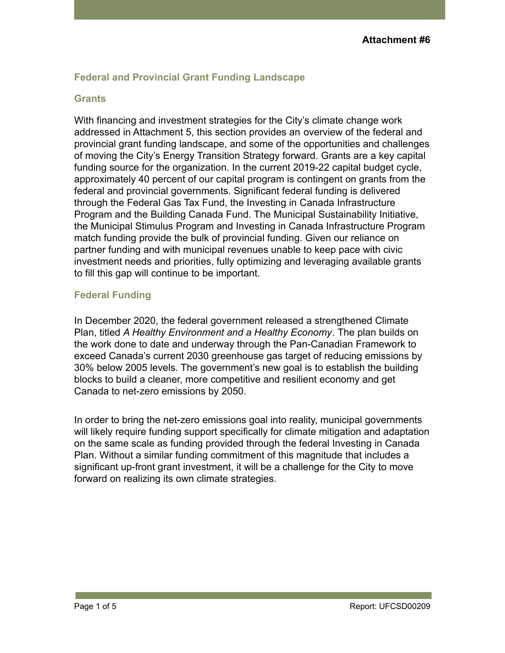## **Federal and Provincial Grant Funding Landscape**

## **Grants**

With financing and investment strategies for the City's climate change work addressed in Attachment 5, this section provides an overview of the federal and provincial grant funding landscape, and some of the opportunities and challenges of moving the City's Energy Transition Strategy forward. Grants are a key capital funding source for the organization. In the current 2019-22 capital budget cycle, approximately 40 percent of our capital program is contingent on grants from the federal and provincial governments. Significant federal funding is delivered through the Federal Gas Tax Fund, the Investing in Canada Infrastructure Program and the Building Canada Fund. The Municipal Sustainability Initiative, the Municipal Stimulus Program and Investing in Canada Infrastructure Program match funding provide the bulk of provincial funding. Given our reliance on partner funding and with municipal revenues unable to keep pace with civic investment needs and priorities, fully optimizing and leveraging available grants to fill this gap will continue to be important.

## **Federal Funding**

In December 2020, the federal government released a strengthened Climate Plan, titled *A Healthy Environment and a Healthy Economy*. The plan builds on the work done to date and underway through the Pan-Canadian Framework to exceed Canada's current 2030 greenhouse gas target of reducing emissions by 30% below 2005 levels. The government's new goal is to establish the building blocks to build a cleaner, more competitive and resilient economy and get Canada to net-zero emissions by 2050.

In order to bring the net-zero emissions goal into reality, municipal governments will likely require funding support specifically for climate mitigation and adaptation on the same scale as funding provided through the federal Investing in Canada Plan. Without a similar funding commitment of this magnitude that includes a significant up-front grant investment, it will be a challenge for the City to move forward on realizing its own climate strategies.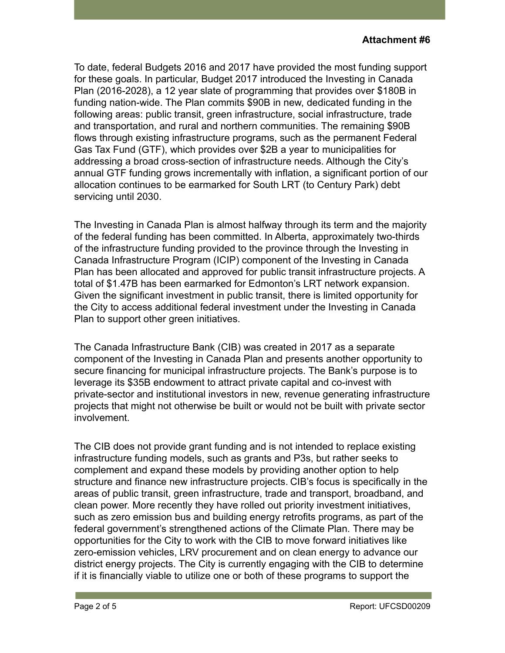To date, federal Budgets 2016 and 2017 have provided the most funding support for these goals. In particular, Budget 2017 introduced the Investing in Canada Plan (2016-2028), a 12 year slate of programming that provides over \$180B in funding nation-wide. The Plan commits \$90B in new, dedicated funding in the following areas: public transit, green infrastructure, social infrastructure, trade and transportation, and rural and northern communities. The remaining \$90B flows through existing infrastructure programs, such as the permanent Federal Gas Tax Fund (GTF), which provides over \$2B a year to municipalities for addressing a broad cross-section of infrastructure needs. Although the City's annual GTF funding grows incrementally with inflation, a significant portion of our allocation continues to be earmarked for South LRT (to Century Park) debt servicing until 2030.

The Investing in Canada Plan is almost halfway through its term and the majority of the federal funding has been committed. In Alberta, approximately two-thirds of the infrastructure funding provided to the province through the Investing in Canada Infrastructure Program (ICIP) component of the Investing in Canada Plan has been allocated and approved for public transit infrastructure projects. A total of \$1.47B has been earmarked for Edmonton's LRT network expansion. Given the significant investment in public transit, there is limited opportunity for the City to access additional federal investment under the Investing in Canada Plan to support other green initiatives.

The Canada Infrastructure Bank (CIB) was created in 2017 as a separate component of the Investing in Canada Plan and presents another opportunity to secure financing for municipal infrastructure projects. The Bank's purpose is to leverage its \$35B endowment to attract private capital and co-invest with private-sector and institutional investors in new, revenue generating infrastructure projects that might not otherwise be built or would not be built with private sector involvement.

The CIB does not provide grant funding and is not intended to replace existing infrastructure funding models, such as grants and P3s, but rather seeks to complement and expand these models by providing another option to help structure and finance new infrastructure projects. CIB's focus is specifically in the areas of public transit, green infrastructure, trade and transport, broadband, and clean power. More recently they have rolled out priority investment initiatives, such as zero emission bus and building energy retrofits programs, as part of the federal government's strengthened actions of the Climate Plan. There may be opportunities for the City to work with the CIB to move forward initiatives like zero-emission vehicles, LRV procurement and on clean energy to advance our district energy projects. The City is currently engaging with the CIB to determine if it is financially viable to utilize one or both of these programs to support the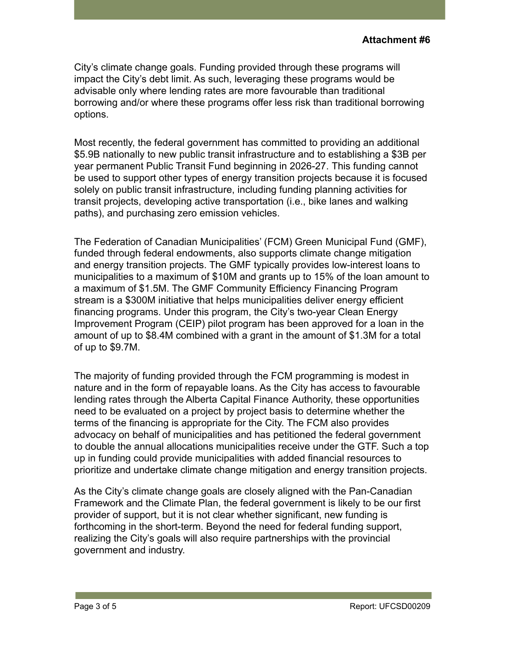City's climate change goals. Funding provided through these programs will impact the City's debt limit. As such, leveraging these programs would be advisable only where lending rates are more favourable than traditional borrowing and/or where these programs offer less risk than traditional borrowing options.

Most recently, the federal government has committed to providing an additional \$5.9B nationally to new public transit infrastructure and to establishing a \$3B per year permanent Public Transit Fund beginning in 2026-27. This funding cannot be used to support other types of energy transition projects because it is focused solely on public transit infrastructure, including funding planning activities for transit projects, developing active transportation (i.e., bike lanes and walking paths), and purchasing zero emission vehicles.

The Federation of Canadian Municipalities' (FCM) Green Municipal Fund (GMF), funded through federal endowments, also supports climate change mitigation and energy transition projects. The GMF typically provides low-interest loans to municipalities to a maximum of \$10M and grants up to 15% of the loan amount to a maximum of \$1.5M. The GMF Community Efficiency Financing Program stream is a \$300M initiative that helps municipalities deliver energy efficient financing programs. Under this program, the City's two-year Clean Energy Improvement Program (CEIP) pilot program has been approved for a loan in the amount of up to \$8.4M combined with a grant in the amount of \$1.3M for a total of up to \$9.7M.

The majority of funding provided through the FCM programming is modest in nature and in the form of repayable loans. As the City has access to favourable lending rates through the Alberta Capital Finance Authority, these opportunities need to be evaluated on a project by project basis to determine whether the terms of the financing is appropriate for the City. The FCM also provides advocacy on behalf of municipalities and has petitioned the federal government to double the annual allocations municipalities receive under the GTF. Such a top up in funding could provide municipalities with added financial resources to prioritize and undertake climate change mitigation and energy transition projects.

As the City's climate change goals are closely aligned with the Pan-Canadian Framework and the Climate Plan, the federal government is likely to be our first provider of support, but it is not clear whether significant, new funding is forthcoming in the short-term. Beyond the need for federal funding support, realizing the City's goals will also require partnerships with the provincial government and industry.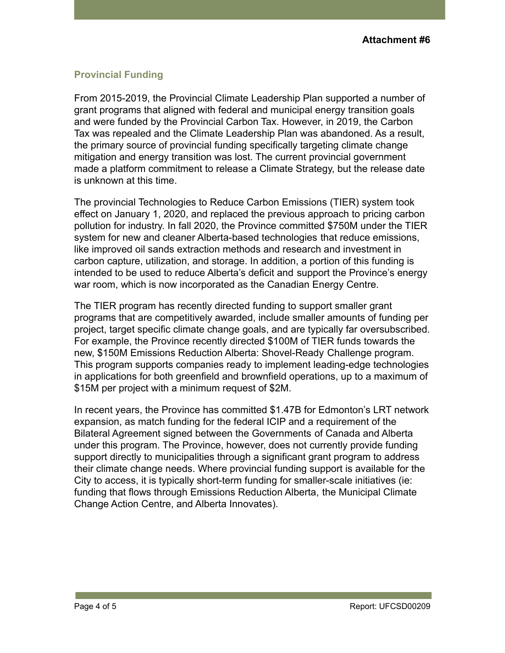## **Provincial Funding**

From 2015-2019, the Provincial Climate Leadership Plan supported a number of grant programs that aligned with federal and municipal energy transition goals and were funded by the Provincial Carbon Tax. However, in 2019, the Carbon Tax was repealed and the Climate Leadership Plan was abandoned. As a result, the primary source of provincial funding specifically targeting climate change mitigation and energy transition was lost. The current provincial government made a platform commitment to release a Climate Strategy, but the release date is unknown at this time.

The provincial Technologies to Reduce Carbon Emissions (TIER) system took effect on January 1, 2020, and replaced the previous approach to pricing carbon pollution for industry. In fall 2020, the Province committed \$750M under the TIER system for new and cleaner Alberta-based technologies that reduce emissions, like improved oil sands extraction methods and research and investment in carbon capture, utilization, and storage. In addition, a portion of this funding is intended to be used to reduce Alberta's deficit and support the Province's energy war room, which is now incorporated as the Canadian Energy Centre.

The TIER program has recently directed funding to support smaller grant programs that are competitively awarded, include smaller amounts of funding per project, target specific climate change goals, and are typically far oversubscribed. For example, the Province recently directed \$100M of TIER funds towards the new, \$150M Emissions Reduction Alberta: Shovel-Ready Challenge program. This program supports companies ready to implement leading-edge technologies in applications for both greenfield and brownfield operations, up to a maximum of \$15M per project with a minimum request of \$2M.

In recent years, the Province has committed \$1.47B for Edmonton's LRT network expansion, as match funding for the federal ICIP and a requirement of the Bilateral Agreement signed between the Governments of Canada and Alberta under this program. The Province, however, does not currently provide funding support directly to municipalities through a significant grant program to address their climate change needs. Where provincial funding support is available for the City to access, it is typically short-term funding for smaller-scale initiatives (ie: funding that flows through Emissions Reduction Alberta, the Municipal Climate Change Action Centre, and Alberta Innovates).